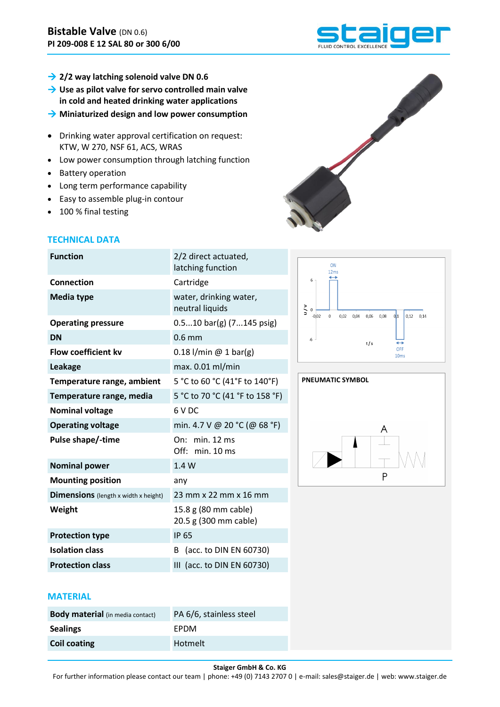- **2/2 way latching solenoid valve DN 0.6**
- **→ Use as pilot valve for servo controlled main valve in cold and heated drinking water applications**
- **Miniaturized design and low power consumption**
- Drinking water approval certification on request: KTW, W 270, NSF 61, ACS, WRAS
- Low power consumption through latching function
- Battery operation
- Long term performance capability
- Easy to assemble plug-in contour
- 100 % final testing

# **TECHNICAL DATA**

| <b>Function</b>                             | 2/2 direct actuated,<br>latching function     |  |  |
|---------------------------------------------|-----------------------------------------------|--|--|
| <b>Connection</b>                           | Cartridge                                     |  |  |
| <b>Media type</b>                           | water, drinking water,<br>neutral liquids     |  |  |
| <b>Operating pressure</b>                   | $0.510$ bar(g) $(7145$ psig)                  |  |  |
| <b>DN</b>                                   | $0.6$ mm                                      |  |  |
| <b>Flow coefficient ky</b>                  | $0.18$ l/min @ 1 bar(g)                       |  |  |
| Leakage                                     | max. 0.01 ml/min                              |  |  |
| Temperature range, ambient                  | 5 °C to 60 °C (41°F to 140°F)                 |  |  |
| Temperature range, media                    | 5 °C to 70 °C (41 °F to 158 °F)               |  |  |
| <b>Nominal voltage</b>                      | 6 V DC                                        |  |  |
| <b>Operating voltage</b>                    | min. 4.7 V @ 20 °C (@ 68 °F)                  |  |  |
| Pulse shape/-time                           | min. 12 ms<br>On:<br>Off: min. 10 ms          |  |  |
| <b>Nominal power</b>                        | 1.4W                                          |  |  |
| <b>Mounting position</b>                    | any                                           |  |  |
| <b>Dimensions</b> (length x width x height) | 23 mm x 22 mm x 16 mm                         |  |  |
| Weight                                      | 15.8 g (80 mm cable)<br>20.5 g (300 mm cable) |  |  |
| <b>Protection type</b>                      | <b>IP 65</b>                                  |  |  |
| <b>Isolation class</b>                      | (acc. to DIN EN 60730)<br>B                   |  |  |
| <b>Protection class</b>                     | III (acc. to DIN EN 60730)                    |  |  |





## **MATERIAL**

| <b>Body material</b> (in media contact) | PA 6/6, stainless steel |  |  |
|-----------------------------------------|-------------------------|--|--|
| <b>Sealings</b>                         | <b>FPDM</b>             |  |  |
| <b>Coil coating</b>                     | Hotmelt                 |  |  |



N.

## **Staiger GmbH & Co. KG**

For further information please contact our team | phone: +49 (0) 7143 2707 0 | e-mail: sales@staiger.de | web: www.staiger.de